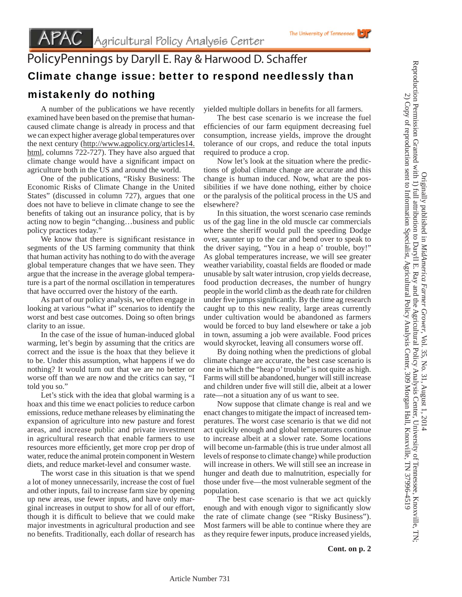## PolicyPennings by Daryll E. Ray & Harwood D. Schaffer Climate change issue: better to respond needlessly than mistakenly do nothing

 A number of the publications we have recently examined have been based on the premise that humancaused climate change is already in process and that we can expect higher average global temperatures over the next century (http://www.agpolicy.org/articles14. html, columns 722-727). They have also argued that climate change would have a significant impact on agriculture both in the US and around the world.

 One of the publications, "Risky Business: The Economic Risks of Climate Change in the United States" (discussed in column 727), argues that one does not have to believe in climate change to see the benefits of taking out an insurance policy, that is by acting now to begin "changing…business and public policy practices today."

We know that there is significant resistance in segments of the US farming community that think that human activity has nothing to do with the average global temperature changes that we have seen. They argue that the increase in the average global temperature is a part of the normal oscillation in temperatures that have occurred over the history of the earth.

 As part of our policy analysis, we often engage in looking at various "what if" scenarios to identify the worst and best case outcomes. Doing so often brings clarity to an issue.

 In the case of the issue of human-induced global warming, let's begin by assuming that the critics are correct and the issue is the hoax that they believe it to be. Under this assumption, what happens if we do nothing? It would turn out that we are no better or worse off than we are now and the critics can say, "I told you so."

 Let's stick with the idea that global warming is a hoax and this time we enact policies to reduce carbon emissions, reduce methane releases by eliminating the expansion of agriculture into new pasture and forest areas, and increase public and private investment in agricultural research that enable farmers to use resources more efficiently, get more crop per drop of water, reduce the animal protein component in Western diets, and reduce market-level and consumer waste.

 The worst case in this situation is that we spend a lot of money unnecessarily, increase the cost of fuel and other inputs, fail to increase farm size by opening up new areas, use fewer inputs, and have only marginal increases in output to show for all of our effort, though it is difficult to believe that we could make major investments in agricultural production and see no benefits. Traditionally, each dollar of research has

yielded multiple dollars in benefits for all farmers.

 The best case scenario is we increase the fuel efficiencies of our farm equipment decreasing fuel consumption, increase yields, improve the drought tolerance of our crops, and reduce the total inputs required to produce a crop.

 Now let's look at the situation where the predictions of global climate change are accurate and this change is human induced. Now, what are the possibilities if we have done nothing, either by choice or the paralysis of the political process in the US and elsewhere?

 In this situation, the worst scenario case reminds us of the gag line in the old muscle car commercials where the sheriff would pull the speeding Dodge over, saunter up to the car and bend over to speak to the driver saying, "You in a heap o' trouble, boy!" As global temperatures increase, we will see greater weather variability, coastal fields are flooded or made unusable by salt water intrusion, crop yields decrease, food production decreases, the number of hungry people in the world climb as the death rate for children under five jumps significantly. By the time ag research caught up to this new reality, large areas currently under cultivation would be abandoned as farmers would be forced to buy land elsewhere or take a job in town, assuming a job were available. Food prices would skyrocket, leaving all consumers worse off.

 By doing nothing when the predictions of global climate change are accurate, the best case scenario is one in which the "heap o' trouble" is not quite as high. Farms will still be abandoned, hunger will still increase and children under five will still die, albeit at a lower rate—not a situation any of us want to see.

 Now suppose that climate change is real and we enact changes to mitigate the impact of increased temperatures. The worst case scenario is that we did not act quickly enough and global temperatures continue to increase albeit at a slower rate. Some locations will become un-farmable (this is true under almost all levels of response to climate change) while production will increase in others. We will still see an increase in hunger and death due to malnutrition, especially for those under five—the most vulnerable segment of the population.

 The best case scenario is that we act quickly enough and with enough vigor to significantly slow the rate of climate change (see "Risky Business"). Most farmers will be able to continue where they are as they require fewer inputs, produce increased yields,